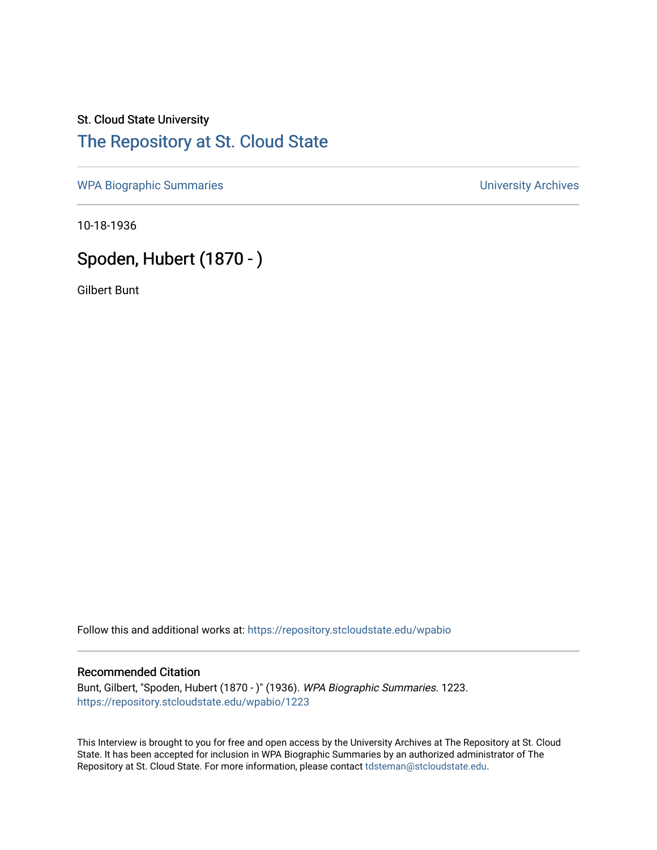## St. Cloud State University [The Repository at St. Cloud State](https://repository.stcloudstate.edu/)

[WPA Biographic Summaries](https://repository.stcloudstate.edu/wpabio) **WPA Biographic Summaries University Archives** 

10-18-1936

# Spoden, Hubert (1870 - )

Gilbert Bunt

Follow this and additional works at: [https://repository.stcloudstate.edu/wpabio](https://repository.stcloudstate.edu/wpabio?utm_source=repository.stcloudstate.edu%2Fwpabio%2F1223&utm_medium=PDF&utm_campaign=PDFCoverPages) 

#### Recommended Citation

Bunt, Gilbert, "Spoden, Hubert (1870 - )" (1936). WPA Biographic Summaries. 1223. [https://repository.stcloudstate.edu/wpabio/1223](https://repository.stcloudstate.edu/wpabio/1223?utm_source=repository.stcloudstate.edu%2Fwpabio%2F1223&utm_medium=PDF&utm_campaign=PDFCoverPages) 

This Interview is brought to you for free and open access by the University Archives at The Repository at St. Cloud State. It has been accepted for inclusion in WPA Biographic Summaries by an authorized administrator of The Repository at St. Cloud State. For more information, please contact [tdsteman@stcloudstate.edu.](mailto:tdsteman@stcloudstate.edu)